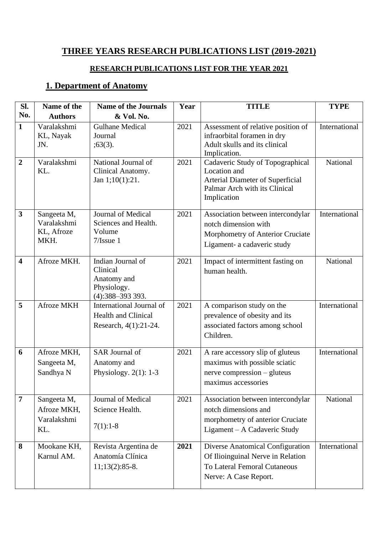### **THREE YEARS RESEARCH PUBLICATIONS LIST (2019-2021)**

#### **RESEARCH PUBLICATIONS LIST FOR THE YEAR 2021**

### **1. Department of Anatomy**

| SI.                     | Name of the                                      | <b>Name of the Journals</b>                                                        | Year | <b>TITLE</b>                                                                                                                                 | <b>TYPE</b>   |
|-------------------------|--------------------------------------------------|------------------------------------------------------------------------------------|------|----------------------------------------------------------------------------------------------------------------------------------------------|---------------|
| No.                     | <b>Authors</b>                                   | & Vol. No.                                                                         |      |                                                                                                                                              |               |
| $\mathbf{1}$            | Varalakshmi<br>KL, Nayak<br>JN.                  | <b>Gulhane Medical</b><br>Journal<br>;63(3).                                       | 2021 | Assessment of relative position of<br>infraorbital foramen in dry<br>Adult skulls and its clinical<br>Implication.                           | International |
| $\overline{2}$          | Varalakshmi<br>KL.                               | National Journal of<br>Clinical Anatomy.<br>Jan $1;10(1):21$ .                     | 2021 | Cadaveric Study of Topographical<br>Location and<br>Arterial Diameter of Superficial<br>Palmar Arch with its Clinical<br>Implication         | National      |
| $\mathbf{3}$            | Sangeeta M,<br>Varalakshmi<br>KL, Afroze<br>MKH. | Journal of Medical<br>Sciences and Health.<br>Volume<br>$7/I$ ssue 1               | 2021 | Association between intercondylar<br>notch dimension with<br>Morphometry of Anterior Cruciate<br>Ligament- a cadaveric study                 | International |
| $\overline{\mathbf{4}}$ | Afroze MKH.                                      | Indian Journal of<br>Clinical<br>Anatomy and<br>Physiology.<br>$(4):388 - 393393.$ | 2021 | Impact of intermittent fasting on<br>human health.                                                                                           | National      |
| 5                       | Afroze MKH                                       | International Journal of<br><b>Health and Clinical</b><br>Research, 4(1):21-24.    | 2021 | A comparison study on the<br>prevalence of obesity and its<br>associated factors among school<br>Children.                                   | International |
| 6                       | Afroze MKH,<br>Sangeeta M,<br>Sandhya N          | SAR Journal of<br>Anatomy and<br>Physiology. $2(1)$ : 1-3                          | 2021 | A rare accessory slip of gluteus<br>maximus with possible sciatic<br>nerve compression – gluteus<br>maximus accessories                      | International |
| 7                       | Sangeeta M,<br>Afroze MKH,<br>Varalakshmi<br>KL. | Journal of Medical<br>Science Health.<br>$7(1):1-8$                                | 2021 | Association between intercondylar<br>notch dimensions and<br>morphometry of anterior Cruciate<br>Ligament - A Cadaveric Study                | National      |
| 8                       | Mookane KH,<br>Karnul AM.                        | Revista Argentina de<br>Anatomía Clínica<br>$11;13(2):85-8.$                       | 2021 | <b>Diverse Anatomical Configuration</b><br>Of Ilioinguinal Nerve in Relation<br><b>To Lateral Femoral Cutaneous</b><br>Nerve: A Case Report. | International |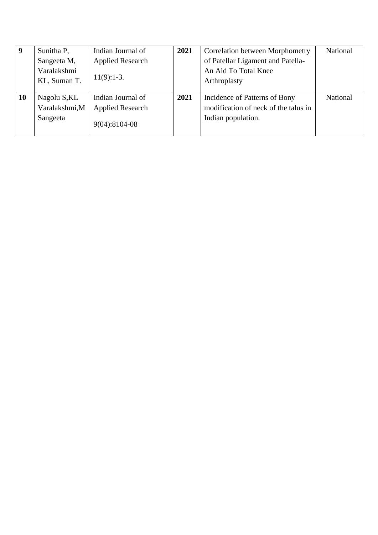| 9  | Sunitha P,    | Indian Journal of       | 2021 | <b>Correlation between Morphometry</b> | National        |
|----|---------------|-------------------------|------|----------------------------------------|-----------------|
|    | Sangeeta M,   | <b>Applied Research</b> |      | of Patellar Ligament and Patella-      |                 |
|    | Varalakshmi   |                         |      | An Aid To Total Knee                   |                 |
|    | KL, Suman T.  | $11(9):1-3.$            |      | Arthroplasty                           |                 |
|    |               |                         |      |                                        |                 |
| 10 | Nagolu S,KL   | Indian Journal of       | 2021 | Incidence of Patterns of Bony          | <b>National</b> |
|    | Varalakshmi,M | <b>Applied Research</b> |      | modification of neck of the talus in   |                 |
|    | Sangeeta      |                         |      | Indian population.                     |                 |
|    |               | 9(04):8104-08           |      |                                        |                 |
|    |               |                         |      |                                        |                 |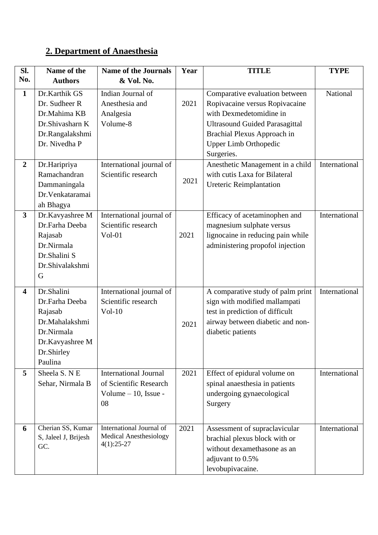# **2. Department of Anaesthesia**

| SI.<br>No.              | Name of the<br><b>Authors</b> | <b>Name of the Journals</b><br>& Vol. No. | Year | <b>TITLE</b>                                              | <b>TYPE</b>   |
|-------------------------|-------------------------------|-------------------------------------------|------|-----------------------------------------------------------|---------------|
|                         |                               |                                           |      |                                                           |               |
| $\mathbf{1}$            | Dr.Karthik GS                 | Indian Journal of                         |      | Comparative evaluation between                            | National      |
|                         | Dr. Sudheer R<br>Dr.Mahima KB | Anesthesia and                            | 2021 | Ropivacaine versus Ropivacaine<br>with Dexmedetomidine in |               |
|                         | Dr.Shivasharn K               | Analgesia<br>Volume-8                     |      | <b>Ultrasound Guided Parasagittal</b>                     |               |
|                         | Dr.Rangalakshmi               |                                           |      | Brachial Plexus Approach in                               |               |
|                         | Dr. Nivedha P                 |                                           |      | <b>Upper Limb Orthopedic</b>                              |               |
|                         |                               |                                           |      | Surgeries.                                                |               |
| $\overline{2}$          | Dr.Haripriya                  | International journal of                  |      | Anesthetic Management in a child                          | International |
|                         | Ramachandran                  | Scientific research                       |      | with cutis Laxa for Bilateral                             |               |
|                         | Dammaningala                  |                                           | 2021 | <b>Ureteric Reimplantation</b>                            |               |
|                         | Dr. Venkataramai              |                                           |      |                                                           |               |
|                         | ah Bhagya                     |                                           |      |                                                           |               |
| $\mathbf{3}$            | Dr.Kavyashree M               | International journal of                  |      | Efficacy of acetaminophen and                             | International |
|                         | Dr.Farha Deeba                | Scientific research                       |      | magnesium sulphate versus                                 |               |
|                         | Rajasab                       | $Vol-01$                                  | 2021 | lignocaine in reducing pain while                         |               |
|                         | Dr.Nirmala                    |                                           |      | administering propofol injection                          |               |
|                         | Dr.Shalini S                  |                                           |      |                                                           |               |
|                         | Dr.Shivalakshmi               |                                           |      |                                                           |               |
|                         | G                             |                                           |      |                                                           |               |
| $\overline{\mathbf{4}}$ | Dr.Shalini                    | International journal of                  |      | A comparative study of palm print                         | International |
|                         | Dr.Farha Deeba                | Scientific research                       |      | sign with modified mallampati                             |               |
|                         | Rajasab                       | $Vol-10$                                  |      | test in prediction of difficult                           |               |
|                         | Dr.Mahalakshmi                |                                           | 2021 | airway between diabetic and non-                          |               |
|                         | Dr.Nirmala                    |                                           |      | diabetic patients                                         |               |
|                         | Dr.Kavyashree M               |                                           |      |                                                           |               |
|                         | Dr.Shirley                    |                                           |      |                                                           |               |
|                         | Paulina                       |                                           |      |                                                           |               |
| 5                       | Sheela S. N E                 | <b>International Journal</b>              | 2021 | Effect of epidural volume on                              | International |
|                         | Sehar, Nirmala B              | of Scientific Research                    |      | spinal anaesthesia in patients                            |               |
|                         |                               | Volume $-10$ , Issue -                    |      | undergoing gynaecological                                 |               |
|                         |                               | 08                                        |      | Surgery                                                   |               |
|                         |                               |                                           |      |                                                           |               |
| 6                       | Cherian SS, Kumar             | International Journal of                  | 2021 | Assessment of supraclavicular                             | International |
|                         | S, Jaleel J, Brijesh          | <b>Medical Anesthesiology</b>             |      | brachial plexus block with or                             |               |
|                         | GC.                           | $4(1):25-27$                              |      | without dexamethasone as an                               |               |
|                         |                               |                                           |      | adjuvant to 0.5%                                          |               |
|                         |                               |                                           |      | levobupivacaine.                                          |               |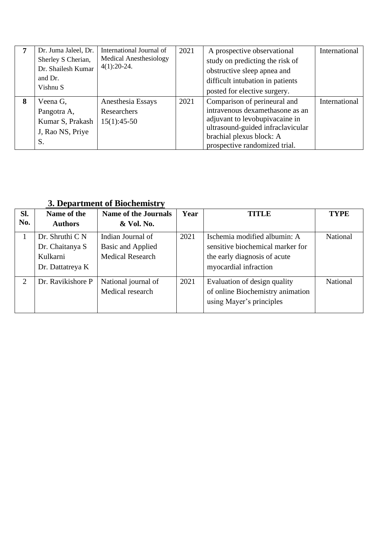|   | Dr. Juma Jaleel, Dr.<br>Sherley S Cherian,<br>Dr. Shailesh Kumar<br>and Dr.<br>Vishnu S | International Journal of<br><b>Medical Anesthesiology</b><br>$4(1):20-24.$ | 2021 | A prospective observational<br>study on predicting the risk of<br>obstructive sleep apnea and<br>difficult intubation in patients<br>posted for elective surgery.                                   | International |
|---|-----------------------------------------------------------------------------------------|----------------------------------------------------------------------------|------|-----------------------------------------------------------------------------------------------------------------------------------------------------------------------------------------------------|---------------|
| 8 | Veena G,<br>Pangotra A,<br>Kumar S, Prakash<br>J, Rao NS, Priye<br>S.                   | Anesthesia Essays<br>Researchers<br>$15(1):45-50$                          | 2021 | Comparison of perineural and<br>intravenous dexamethasone as an<br>adjuvant to levobupivacaine in<br>ultrasound-guided infraclavicular<br>brachial plexus block: A<br>prospective randomized trial. | International |

### **3. Department of Biochemistry**

| SI. | Name of the       | <b>Name of the Journals</b> | Year | <b>TITLE</b>                     | <b>TYPE</b> |
|-----|-------------------|-----------------------------|------|----------------------------------|-------------|
| No. | <b>Authors</b>    | & Vol. No.                  |      |                                  |             |
|     | Dr. Shruthi $C N$ | Indian Journal of           | 2021 | Ischemia modified albumin: A     | National    |
|     | Dr. Chaitanya S   | Basic and Applied           |      | sensitive biochemical marker for |             |
|     | Kulkarni          | <b>Medical Research</b>     |      | the early diagnosis of acute     |             |
|     | Dr. Dattatreya K  |                             |      | myocardial infraction            |             |
| 2   | Dr. Ravikishore P | National journal of         | 2021 | Evaluation of design quality     | National    |
|     |                   | Medical research            |      | of online Biochemistry animation |             |
|     |                   |                             |      | using Mayer's principles         |             |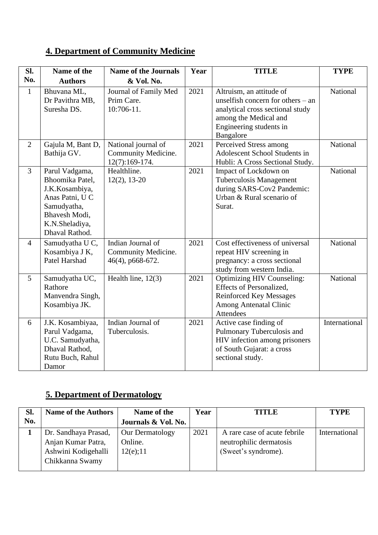# **4. Department of Community Medicine**

| SI.            | Name of the                                                                                                                                | <b>Name of the Journals</b>                                    | Year | <b>TITLE</b>                                                                                                                                                       | <b>TYPE</b>   |
|----------------|--------------------------------------------------------------------------------------------------------------------------------------------|----------------------------------------------------------------|------|--------------------------------------------------------------------------------------------------------------------------------------------------------------------|---------------|
| No.            | <b>Authors</b>                                                                                                                             | & Vol. No.                                                     |      |                                                                                                                                                                    |               |
| $\mathbf{1}$   | Bhuvana ML,<br>Dr Pavithra MB,<br>Suresha DS.                                                                                              | Journal of Family Med<br>Prim Care.<br>$10:706-11.$            | 2021 | Altruism, an attitude of<br>unselfish concern for others – an<br>analytical cross sectional study<br>among the Medical and<br>Engineering students in<br>Bangalore | National      |
| $\overline{2}$ | Gajula M, Bant D,<br>Bathija GV.                                                                                                           | National journal of<br>Community Medicine.<br>$12(7):169-174.$ | 2021 | Perceived Stress among<br>Adolescent School Students in<br>Hubli: A Cross Sectional Study.                                                                         | National      |
| $\overline{3}$ | Parul Vadgama,<br>Bhoomika Patel,<br>J.K.Kosambiya,<br>Anas Patni, U C<br>Samudyatha,<br>Bhavesh Modi,<br>K.N.Sheladiya,<br>Dhaval Rathod. | Healthline.<br>$12(2), 13-20$                                  | 2021 | Impact of Lockdown on<br><b>Tuberculosis Management</b><br>during SARS-Cov2 Pandemic:<br>Urban & Rural scenario of<br>Surat.                                       | National      |
| $\overline{4}$ | Samudyatha U C,<br>Kosambiya J K,<br>Patel Harshad                                                                                         | Indian Journal of<br>Community Medicine.<br>46(4), p668-672.   | 2021 | Cost effectiveness of universal<br>repeat HIV screening in<br>pregnancy: a cross sectional<br>study from western India.                                            | National      |
| 5              | Samudyatha UC,<br>Rathore<br>Manvendra Singh,<br>Kosambiya JK.                                                                             | Health line, 12(3)                                             | 2021 | <b>Optimizing HIV Counseling:</b><br>Effects of Personalized,<br><b>Reinforced Key Messages</b><br><b>Among Antenatal Clinic</b><br><b>Attendees</b>               | National      |
| 6              | J.K. Kosambiyaa,<br>Parul Vadgama,<br>U.C. Samudyatha,<br>Dhaval Rathod,<br>Rutu Buch, Rahul<br>Damor                                      | Indian Journal of<br>Tuberculosis.                             | 2021 | Active case finding of<br>Pulmonary Tuberculosis and<br>HIV infection among prisoners<br>of South Gujarat: a cross<br>sectional study.                             | International |

# **5. Department of Dermatology**

| SI. | <b>Name of the Authors</b> | Name of the         | Year | TITLE                        | <b>TYPE</b>   |
|-----|----------------------------|---------------------|------|------------------------------|---------------|
| No. |                            | Journals & Vol. No. |      |                              |               |
|     | Dr. Sandhaya Prasad,       | Our Dermatology     | 2021 | A rare case of acute febrile | International |
|     | Anjan Kumar Patra,         | Online.             |      | neutrophilic dermatosis      |               |
|     | Ashwini Kodigehalli        | 12(e); 11           |      | (Sweet's syndrome).          |               |
|     | Chikkanna Swamy            |                     |      |                              |               |
|     |                            |                     |      |                              |               |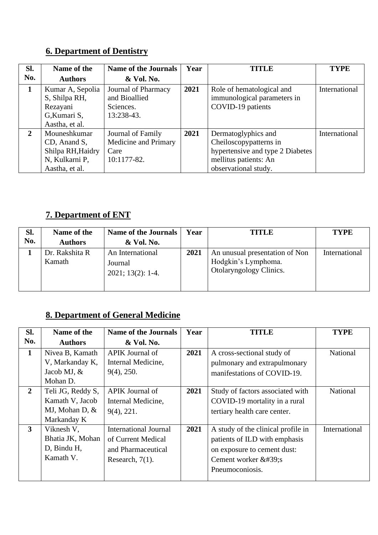## **6. Department of Dentistry**

| SI.            | Name of the                                                                           | <b>Name of the Journals</b>                                      | Year | TITLE                                                                                                                              | <b>TYPE</b>   |
|----------------|---------------------------------------------------------------------------------------|------------------------------------------------------------------|------|------------------------------------------------------------------------------------------------------------------------------------|---------------|
| No.            | <b>Authors</b>                                                                        | & Vol. No.                                                       |      |                                                                                                                                    |               |
|                | Kumar A, Sepolia<br>S, Shilpa RH,<br>Rezayani<br>G, Kumari S,<br>Aastha, et al.       | Journal of Pharmacy<br>and Bioallied<br>Sciences.<br>13:238-43.  | 2021 | Role of hematological and<br>immunological parameters in<br>COVID-19 patients                                                      | International |
| $\overline{2}$ | Mouneshkumar<br>CD, Anand S,<br>Shilpa RH, Haidry<br>N, Kulkarni P,<br>Aastha, et al. | Journal of Family<br>Medicine and Primary<br>Care<br>10:1177-82. | 2021 | Dermatoglyphics and<br>Cheiloscopypatterns in<br>hypertensive and type 2 Diabetes<br>mellitus patients: An<br>observational study. | International |

# **7. Department of ENT**

| SI. | Name of the              | Name of the Journals                               | Year | <b>TITLE</b>                                                                     | <b>TYPE</b>   |
|-----|--------------------------|----------------------------------------------------|------|----------------------------------------------------------------------------------|---------------|
| No. | <b>Authors</b>           | & Vol. No.                                         |      |                                                                                  |               |
|     | Dr. Rakshita R<br>Kamath | An International<br>Journal<br>$2021; 13(2): 1-4.$ | 2021 | An unusual presentation of Non<br>Hodgkin's Lymphoma.<br>Otolaryngology Clinics. | International |

## **8. Department of General Medicine**

| <b>TITLE</b>                       | <b>TYPE</b>   |
|------------------------------------|---------------|
|                                    |               |
| A cross-sectional study of         | National      |
| pulmonary and extrapulmonary       |               |
| manifestations of COVID-19.        |               |
|                                    |               |
| Study of factors associated with   | National      |
| COVID-19 mortality in a rural      |               |
| tertiary health care center.       |               |
|                                    |               |
| A study of the clinical profile in | International |
| patients of ILD with emphasis      |               |
| on exposure to cement dust:        |               |
| Cement worker 's                   |               |
| Pneumoconiosis.                    |               |
|                                    |               |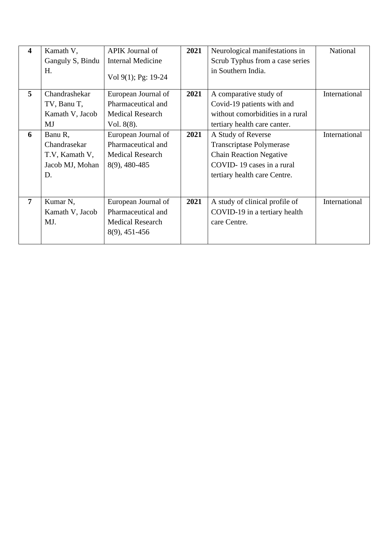| $\overline{\mathbf{4}}$ | Kamath V,            | APIK Journal of          | 2021 | Neurological manifestations in   | National      |
|-------------------------|----------------------|--------------------------|------|----------------------------------|---------------|
|                         | Ganguly S, Bindu     | <b>Internal Medicine</b> |      | Scrub Typhus from a case series  |               |
|                         | H.                   | Vol $9(1)$ ; Pg: 19-24   |      | in Southern India.               |               |
| 5                       | Chandrashekar        | European Journal of      | 2021 | A comparative study of           | International |
|                         | TV, Banu T,          | Pharmaceutical and       |      | Covid-19 patients with and       |               |
|                         | Kamath V, Jacob      | <b>Medical Research</b>  |      | without comorbidities in a rural |               |
|                         | MJ                   | Vol. $8(8)$ .            |      | tertiary health care canter.     |               |
| 6                       | Banu R,              | European Journal of      | 2021 | A Study of Reverse               | International |
|                         | Chandrasekar         | Pharmaceutical and       |      | Transcriptase Polymerase         |               |
|                         | T.V, Kamath V,       | <b>Medical Research</b>  |      | <b>Chain Reaction Negative</b>   |               |
|                         | Jacob MJ, Mohan      | 8(9), 480-485            |      | COVID-19 cases in a rural        |               |
|                         | D.                   |                          |      | tertiary health care Centre.     |               |
|                         |                      |                          |      |                                  |               |
| $\overline{7}$          | Kumar <sub>N</sub> , | European Journal of      | 2021 | A study of clinical profile of   | International |
|                         | Kamath V, Jacob      | Pharmaceutical and       |      | COVID-19 in a tertiary health    |               |
|                         | MJ.                  | <b>Medical Research</b>  |      | care Centre.                     |               |
|                         |                      | 8(9), 451-456            |      |                                  |               |
|                         |                      |                          |      |                                  |               |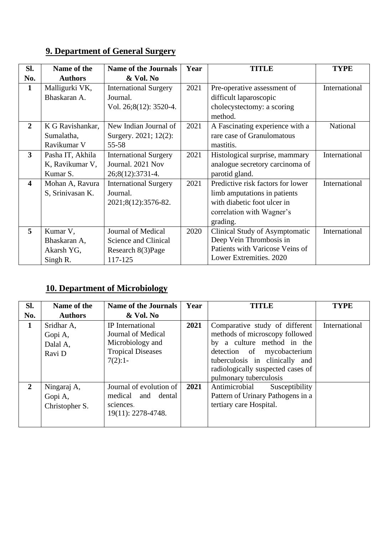# **9. Department of General Surgery**

| SI.                     | Name of the      | <b>Name of the Journals</b>  | Year | <b>TITLE</b>                      | <b>TYPE</b>   |
|-------------------------|------------------|------------------------------|------|-----------------------------------|---------------|
| No.                     | <b>Authors</b>   | & Vol. No                    |      |                                   |               |
| $\mathbf{1}$            | Malligurki VK,   | <b>International Surgery</b> | 2021 | Pre-operative assessment of       | International |
|                         | Bhaskaran A.     | Journal.                     |      | difficult laparoscopic            |               |
|                         |                  | Vol. 26;8(12): 3520-4.       |      | cholecystectomy: a scoring        |               |
|                         |                  |                              |      | method.                           |               |
| $\mathbf{2}$            | K G Ravishankar, | New Indian Journal of        | 2021 | A Fascinating experience with a   | National      |
|                         | Sumalatha,       | Surgery. 2021; 12(2):        |      | rare case of Granulomatous        |               |
|                         | Ravikumar V      | 55-58                        |      | mastitis.                         |               |
| $\overline{3}$          | Pasha IT, Akhila | <b>International Surgery</b> | 2021 | Histological surprise, mammary    | International |
|                         | K, Ravikumar V,  | Journal. 2021 Nov            |      | analogue secretory carcinoma of   |               |
|                         | Kumar S.         | 26;8(12):3731-4.             |      | parotid gland.                    |               |
| $\overline{\mathbf{4}}$ | Mohan A, Ravura  | <b>International Surgery</b> | 2021 | Predictive risk factors for lower | International |
|                         | S, Srinivasan K. | Journal.                     |      | limb amputations in patients      |               |
|                         |                  | 2021;8(12):3576-82.          |      | with diabetic foot ulcer in       |               |
|                         |                  |                              |      | correlation with Wagner's         |               |
|                         |                  |                              |      | grading.                          |               |
| 5                       | Kumar V,         | Journal of Medical           | 2020 | Clinical Study of Asymptomatic    | International |
|                         | Bhaskaran A,     | Science and Clinical         |      | Deep Vein Thrombosis in           |               |
|                         | Akarsh YG,       | Research 8(3)Page            |      | Patients with Varicose Veins of   |               |
|                         | Singh R.         | 117-125                      |      | Lower Extremities. 2020           |               |

### **10. Department of Microbiology**

| Sl.            | Name of the                                 | <b>Name of the Journals</b>                                                                         | Year | <b>TITLE</b>                                                                                                                                                                                                                  | <b>TYPE</b>   |
|----------------|---------------------------------------------|-----------------------------------------------------------------------------------------------------|------|-------------------------------------------------------------------------------------------------------------------------------------------------------------------------------------------------------------------------------|---------------|
| No.            | <b>Authors</b>                              | & Vol. No                                                                                           |      |                                                                                                                                                                                                                               |               |
| $\mathbf{1}$   | Sridhar A,<br>Gopi A,<br>Dalal A,<br>Ravi D | IP International<br>Journal of Medical<br>Microbiology and<br><b>Tropical Diseases</b><br>$7(2):1-$ | 2021 | Comparative study of different<br>methods of microscopy followed<br>by a culture method in the<br>detection of mycobacterium<br>tuberculosis in clinically and<br>radiologically suspected cases of<br>pulmonary tuberculosis | International |
| $\overline{2}$ | Ningaraj A,<br>Gopi A,<br>Christopher S.    | Journal of evolution of<br>medical and dental<br>sciences.<br>19(11): 2278-4748.                    | 2021 | Antimicrobial<br>Susceptibility<br>Pattern of Urinary Pathogens in a<br>tertiary care Hospital.                                                                                                                               |               |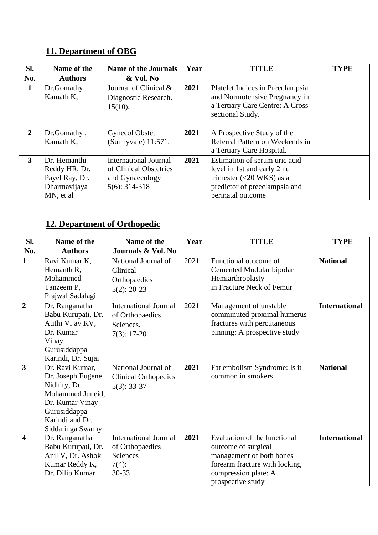## **11. Department of OBG**

| Sl.            | Name of the                                                                   | <b>Name of the Journals</b>                                                                   | Year | <b>TITLE</b>                                                                                                                                     | <b>TYPE</b> |
|----------------|-------------------------------------------------------------------------------|-----------------------------------------------------------------------------------------------|------|--------------------------------------------------------------------------------------------------------------------------------------------------|-------------|
| No.            | <b>Authors</b>                                                                | & Vol. No                                                                                     |      |                                                                                                                                                  |             |
| $\mathbf{1}$   | Dr.Gomathy.<br>Kamath K,                                                      | Journal of Clinical &<br>Diagnostic Research.<br>$15(10)$ .                                   | 2021 | Platelet Indices in Preeclampsia<br>and Normotensive Pregnancy in<br>a Tertiary Care Centre: A Cross-<br>sectional Study.                        |             |
| $\overline{2}$ | Dr.Gomathy.<br>Kamath K,                                                      | <b>Gynecol Obstet</b><br>(Sunnyvale) 11:571.                                                  | 2021 | A Prospective Study of the<br>Referral Pattern on Weekends in<br>a Tertiary Care Hospital.                                                       |             |
| 3              | Dr. Hemanthi<br>Reddy HR, Dr.<br>Payel Ray, Dr.<br>Dharmavijaya<br>MN, et al. | <b>International Journal</b><br>of Clinical Obstetrics<br>and Gynaecology<br>$5(6)$ : 314-318 | 2021 | Estimation of serum uric acid<br>level in 1st and early 2 nd<br>trimester $(<20$ WKS) as a<br>predictor of preeclampsia and<br>perinatal outcome |             |

# **12. Department of Orthopedic**

| SI.                     | Name of the                                                                                                                                        | Name of the                                                                      | Year | <b>TITLE</b>                                                                                                                                                  | <b>TYPE</b>          |
|-------------------------|----------------------------------------------------------------------------------------------------------------------------------------------------|----------------------------------------------------------------------------------|------|---------------------------------------------------------------------------------------------------------------------------------------------------------------|----------------------|
| No.                     | <b>Authors</b>                                                                                                                                     | Journals & Vol. No                                                               |      |                                                                                                                                                               |                      |
| $\mathbf{1}$            | Ravi Kumar K,<br>Hemanth R,<br>Mohammed<br>Tanzeem P,<br>Prajwal Sadalagi                                                                          | National Journal of<br>Clinical<br>Orthopaedics<br>$5(2): 20-23$                 | 2021 | Functional outcome of<br>Cemented Modular bipolar<br>Hemiarthroplasty<br>in Fracture Neck of Femur                                                            | <b>National</b>      |
| $\overline{2}$          | Dr. Ranganatha<br>Babu Kurupati, Dr.<br>Atithi Vijay KV,<br>Dr. Kumar<br>Vinay<br>Gurusiddappa<br>Karindi, Dr. Sujai                               | <b>International Journal</b><br>of Orthopaedics<br>Sciences.<br>$7(3): 17-20$    | 2021 | Management of unstable<br>comminuted proximal humerus<br>fractures with percutaneous<br>pinning: A prospective study                                          | <b>International</b> |
| $\overline{\mathbf{3}}$ | Dr. Ravi Kumar,<br>Dr. Joseph Eugene<br>Nidhiry, Dr.<br>Mohammed Juneid,<br>Dr. Kumar Vinay<br>Gurusiddappa<br>Karindi and Dr.<br>Siddalinga Swamy | National Journal of<br><b>Clinical Orthopedics</b><br>$5(3): 33-37$              | 2021 | Fat embolism Syndrome: Is it<br>common in smokers                                                                                                             | <b>National</b>      |
| $\overline{\mathbf{4}}$ | Dr. Ranganatha<br>Babu Kurupati, Dr.<br>Anil V, Dr. Ashok<br>Kumar Reddy K,<br>Dr. Dilip Kumar                                                     | <b>International Journal</b><br>of Orthopaedics<br>Sciences<br>$7(4)$ :<br>30-33 | 2021 | Evaluation of the functional<br>outcome of surgical<br>management of both bones<br>forearm fracture with locking<br>compression plate: A<br>prospective study | <b>International</b> |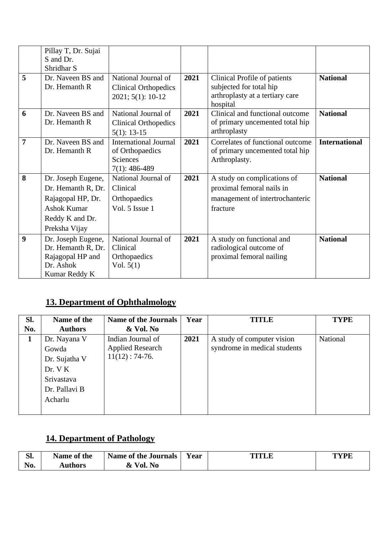|                | Pillay T, Dr. Sujai<br>S and Dr.<br>Shridhar S                                                                          |                                                                                       |      |                                                                                                         |                      |
|----------------|-------------------------------------------------------------------------------------------------------------------------|---------------------------------------------------------------------------------------|------|---------------------------------------------------------------------------------------------------------|----------------------|
| 5              | Dr. Naveen BS and<br>Dr. Hemanth R                                                                                      | National Journal of<br><b>Clinical Orthopedics</b><br>$2021; 5(1): 10-12$             | 2021 | Clinical Profile of patients<br>subjected for total hip<br>arthroplasty at a tertiary care<br>hospital  | <b>National</b>      |
| 6              | Dr. Naveen BS and<br>Dr. Hemanth R                                                                                      | National Journal of<br><b>Clinical Orthopedics</b><br>$5(1): 13-15$                   | 2021 | Clinical and functional outcome<br>of primary uncemented total hip<br>arthroplasty                      | <b>National</b>      |
| $\overline{7}$ | Dr. Naveen BS and<br>Dr. Hemanth R                                                                                      | <b>International Journal</b><br>of Orthopaedics<br><b>Sciences</b><br>$7(1): 486-489$ | 2021 | Correlates of functional outcome<br>of primary uncemented total hip<br>Arthroplasty.                    | <b>International</b> |
| 8              | Dr. Joseph Eugene,<br>Dr. Hemanth R, Dr.<br>Rajagopal HP, Dr.<br><b>Ashok Kumar</b><br>Reddy K and Dr.<br>Preksha Vijay | National Journal of<br>Clinical<br>Orthopaedics<br>Vol. 5 Issue 1                     | 2021 | A study on complications of<br>proximal femoral nails in<br>management of intertrochanteric<br>fracture | <b>National</b>      |
| 9              | Dr. Joseph Eugene,<br>Dr. Hemanth R, Dr.<br>Rajagopal HP and<br>Dr. Ashok<br>Kumar Reddy K                              | National Journal of<br>Clinical<br>Orthopaedics<br>Vol. $5(1)$                        | 2021 | A study on functional and<br>radiological outcome of<br>proximal femoral nailing                        | <b>National</b>      |

## **13. Department of Ophthalmology**

| Sl.<br>No. | Name of the<br><b>Authors</b>                                                               | <b>Name of the Journals</b><br>& Vol. No                         | Year | TITLE                                                      | <b>TYPE</b> |
|------------|---------------------------------------------------------------------------------------------|------------------------------------------------------------------|------|------------------------------------------------------------|-------------|
| 1          | Dr. Nayana V<br>Gowda<br>Dr. Sujatha V<br>Dr. V K<br>Srivastava<br>Dr. Pallavi B<br>Acharlu | Indian Journal of<br><b>Applied Research</b><br>$11(12): 74-76.$ | 2021 | A study of computer vision<br>syndrome in medical students | National    |

# **14. Department of Pathology**

| SI.                             | Name of the | <b>Name of the Journals</b>        | Year | <b>TITLE</b> | TVDL |
|---------------------------------|-------------|------------------------------------|------|--------------|------|
| $\overline{\phantom{a}}$<br>NO. | \uthors     | Vol<br>N0<br>$\boldsymbol{\alpha}$ |      |              |      |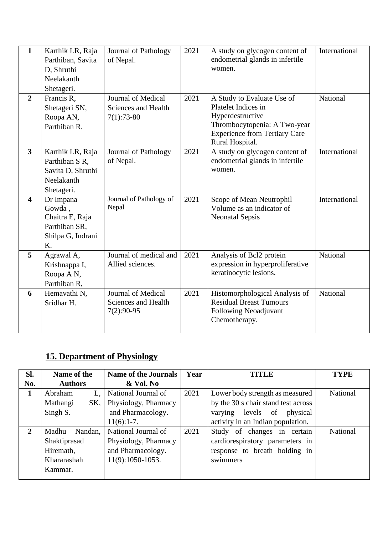| $\mathbf{1}$            | Karthik LR, Raja<br>Parthiban, Savita<br>D, Shruthi<br>Neelakanth<br>Shetageri.     | Journal of Pathology<br>of Nepal.                         | 2021 | A study on glycogen content of<br>endometrial glands in infertile<br>women.                                                                                      | International |
|-------------------------|-------------------------------------------------------------------------------------|-----------------------------------------------------------|------|------------------------------------------------------------------------------------------------------------------------------------------------------------------|---------------|
| $\overline{2}$          | Francis R,<br>Shetageri SN,<br>Roopa AN,<br>Parthiban R.                            | Journal of Medical<br>Sciences and Health<br>$7(1):73-80$ | 2021 | A Study to Evaluate Use of<br>Platelet Indices in<br>Hyperdestructive<br>Thrombocytopenia: A Two-year<br><b>Experience from Tertiary Care</b><br>Rural Hospital. | National      |
| $\overline{3}$          | Karthik LR, Raja<br>Parthiban S R,<br>Savita D, Shruthi<br>Neelakanth<br>Shetageri. | Journal of Pathology<br>of Nepal.                         | 2021 | A study on glycogen content of<br>endometrial glands in infertile<br>women.                                                                                      | International |
| $\overline{\mathbf{4}}$ | Dr Impana<br>Gowda,<br>Chaitra E, Raja<br>Parthiban SR,<br>Shilpa G, Indrani<br>K.  | Journal of Pathology of<br>Nepal                          | 2021 | Scope of Mean Neutrophil<br>Volume as an indicator of<br><b>Neonatal Sepsis</b>                                                                                  | International |
| 5 <sup>5</sup>          | Agrawal A,<br>Krishnappa I,<br>Roopa A N,<br>Parthiban R,                           | Journal of medical and<br>Allied sciences.                | 2021 | Analysis of Bcl2 protein<br>expression in hyperproliferative<br>keratinocytic lesions.                                                                           | National      |
| 6                       | Hemavathi N,<br>Sridhar H.                                                          | Journal of Medical<br>Sciences and Health<br>$7(2):90-95$ | 2021 | Histomorphological Analysis of<br><b>Residual Breast Tumours</b><br>Following Neoadjuvant<br>Chemotherapy.                                                       | National      |

# **15. Department of Physiology**

| SI.            | Name of the      | <b>Name of the Journals</b> | Year | TITLE                               | <b>TYPE</b>     |
|----------------|------------------|-----------------------------|------|-------------------------------------|-----------------|
| No.            | <b>Authors</b>   | & Vol. No                   |      |                                     |                 |
| $\mathbf{1}$   | Abraham<br>L.    | National Journal of         | 2021 | Lower body strength as measured     | <b>National</b> |
|                | Mathangi<br>SK,  | Physiology, Pharmacy        |      | by the 30 s chair stand test across |                 |
|                | Singh S.         | and Pharmacology.           |      | levels of<br>physical<br>varying    |                 |
|                |                  | $11(6):1-7.$                |      | activity in an Indian population.   |                 |
| $\overline{2}$ | Madhu<br>Nandan. | National Journal of         | 2021 | Study of changes in certain         | <b>National</b> |
|                | Shaktiprasad     | Physiology, Pharmacy        |      | cardiorespiratory parameters in     |                 |
|                | Hiremath,        | and Pharmacology.           |      | response to breath holding in       |                 |
|                | Khararashah      | 11(9):1050-1053.            |      | swimmers                            |                 |
|                | Kammar.          |                             |      |                                     |                 |
|                |                  |                             |      |                                     |                 |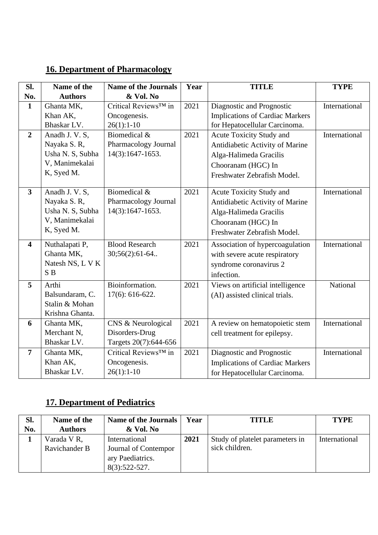# **16. Department of Pharmacology**

| Sl.                     | Name of the      | <b>Name of the Journals</b> | Year | <b>TITLE</b>                           | <b>TYPE</b>   |
|-------------------------|------------------|-----------------------------|------|----------------------------------------|---------------|
| No.                     | <b>Authors</b>   | & Vol. No                   |      |                                        |               |
| $\mathbf{1}$            | Ghanta MK,       | Critical Reviews™ in        | 2021 | Diagnostic and Prognostic              | International |
|                         | Khan AK,         | Oncogenesis.                |      | <b>Implications of Cardiac Markers</b> |               |
|                         | Bhaskar LV.      | $26(1):1-10$                |      | for Hepatocellular Carcinoma.          |               |
| $\overline{2}$          | Anadh J. V. S,   | Biomedical &                | 2021 | Acute Toxicity Study and               | International |
|                         | Nayaka S. R,     | Pharmacology Journal        |      | Antidiabetic Activity of Marine        |               |
|                         | Usha N. S, Subha | 14(3):1647-1653.            |      | Alga-Halimeda Gracilis                 |               |
|                         | V, Manimekalai   |                             |      | Chooranam (HGC) In                     |               |
|                         | K, Syed M.       |                             |      | Freshwater Zebrafish Model.            |               |
|                         |                  |                             |      |                                        |               |
| $\mathbf{3}$            | Anadh J. V. S,   | Biomedical &                | 2021 | Acute Toxicity Study and               | International |
|                         | Nayaka S. R,     | Pharmacology Journal        |      | Antidiabetic Activity of Marine        |               |
|                         | Usha N. S, Subha | 14(3):1647-1653.            |      | Alga-Halimeda Gracilis                 |               |
|                         | V, Manimekalai   |                             |      | Chooranam (HGC) In                     |               |
|                         | K, Syed M.       |                             |      | Freshwater Zebrafish Model.            |               |
|                         |                  |                             |      |                                        |               |
| $\overline{\mathbf{4}}$ | Nuthalapati P,   | <b>Blood Research</b>       | 2021 | Association of hypercoagulation        | International |
|                         | Ghanta MK,       | $30;56(2):61-64$            |      | with severe acute respiratory          |               |
|                         | Natesh NS, L V K |                             |      | syndrome coronavirus 2                 |               |
|                         | $S$ $B$          |                             |      | infection.                             |               |
| 5                       | Arthi            | Bioinformation.             | 2021 | Views on artificial intelligence       | National      |
|                         | Balsundaram, C.  | 17(6): 616-622.             |      | (AI) assisted clinical trials.         |               |
|                         | Stalin & Mohan   |                             |      |                                        |               |
|                         | Krishna Ghanta.  |                             |      |                                        |               |
| 6                       | Ghanta MK,       | CNS & Neurological          | 2021 | A review on hematopoietic stem         | International |
|                         | Merchant N,      | Disorders-Drug              |      | cell treatment for epilepsy.           |               |
|                         | Bhaskar LV.      | Targets 20(7):644-656       |      |                                        |               |
| $\overline{7}$          | Ghanta MK,       | Critical Reviews™ in        | 2021 | Diagnostic and Prognostic              | International |
|                         | Khan AK,         | Oncogenesis.                |      | <b>Implications of Cardiac Markers</b> |               |
|                         | Bhaskar LV.      | $26(1):1-10$                |      | for Hepatocellular Carcinoma.          |               |

## **17. Department of Pediatrics**

| Sl. | Name of the    | <b>Name of the Journals</b> | Year | <b>TITLE</b>                    | <b>TYPE</b>   |
|-----|----------------|-----------------------------|------|---------------------------------|---------------|
| No. | <b>Authors</b> | & Vol. No                   |      |                                 |               |
|     | Varada V R,    | International               | 2021 | Study of platelet parameters in | International |
|     | Ravichander B  | Journal of Contempor        |      | sick children.                  |               |
|     |                | ary Paediatrics.            |      |                                 |               |
|     |                | $8(3):522-527.$             |      |                                 |               |